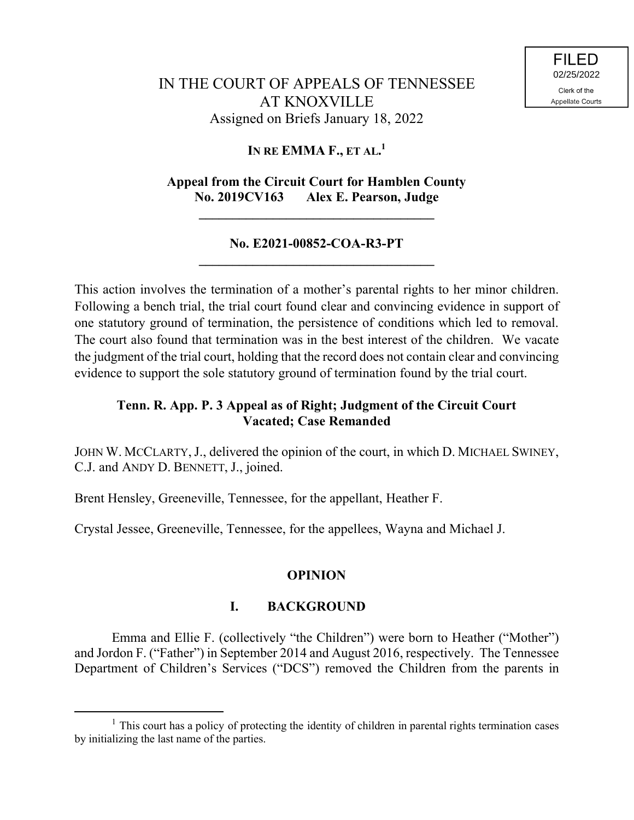### **IN RE EMMA F., ET AL. 1**

# **Appeal from the Circuit Court for Hamblen County No. 2019CV163 Alex E. Pearson, Judge**

**\_\_\_\_\_\_\_\_\_\_\_\_\_\_\_\_\_\_\_\_\_\_\_\_\_\_\_\_\_\_\_\_\_\_\_**

### **No. E2021-00852-COA-R3-PT \_\_\_\_\_\_\_\_\_\_\_\_\_\_\_\_\_\_\_\_\_\_\_\_\_\_\_\_\_\_\_\_\_\_\_**

This action involves the termination of a mother's parental rights to her minor children. Following a bench trial, the trial court found clear and convincing evidence in support of one statutory ground of termination, the persistence of conditions which led to removal. The court also found that termination was in the best interest of the children. We vacate the judgment of the trial court, holding that the record does not contain clear and convincing evidence to support the sole statutory ground of termination found by the trial court.

# **Tenn. R. App. P. 3 Appeal as of Right; Judgment of the Circuit Court Vacated; Case Remanded**

JOHN W. MCCLARTY, J., delivered the opinion of the court, in which D. MICHAEL SWINEY, C.J. and ANDY D. BENNETT, J., joined.

Brent Hensley, Greeneville, Tennessee, for the appellant, Heather F.

Crystal Jessee, Greeneville, Tennessee, for the appellees, Wayna and Michael J.

### **OPINION**

## **I. BACKGROUND**

Emma and Ellie F. (collectively "the Children") were born to Heather ("Mother") and Jordon F. ("Father") in September 2014 and August 2016, respectively. The Tennessee Department of Children's Services ("DCS") removed the Children from the parents in

 $<sup>1</sup>$  This court has a policy of protecting the identity of children in parental rights termination cases</sup> by initializing the last name of the parties.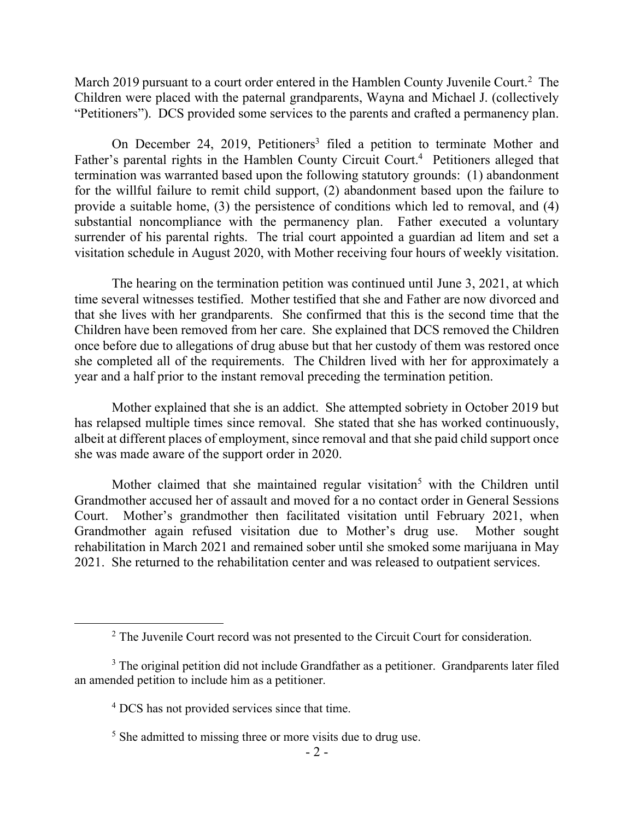March 2019 pursuant to a court order entered in the Hamblen County Juvenile Court.<sup>2</sup> The Children were placed with the paternal grandparents, Wayna and Michael J. (collectively "Petitioners"). DCS provided some services to the parents and crafted a permanency plan.

On December 24, 2019, Petitioners<sup>3</sup> filed a petition to terminate Mother and Father's parental rights in the Hamblen County Circuit Court.<sup>4</sup> Petitioners alleged that termination was warranted based upon the following statutory grounds: (1) abandonment for the willful failure to remit child support, (2) abandonment based upon the failure to provide a suitable home, (3) the persistence of conditions which led to removal, and (4) substantial noncompliance with the permanency plan. Father executed a voluntary surrender of his parental rights. The trial court appointed a guardian ad litem and set a visitation schedule in August 2020, with Mother receiving four hours of weekly visitation.

The hearing on the termination petition was continued until June 3, 2021, at which time several witnesses testified. Mother testified that she and Father are now divorced and that she lives with her grandparents. She confirmed that this is the second time that the Children have been removed from her care. She explained that DCS removed the Children once before due to allegations of drug abuse but that her custody of them was restored once she completed all of the requirements. The Children lived with her for approximately a year and a half prior to the instant removal preceding the termination petition.

Mother explained that she is an addict. She attempted sobriety in October 2019 but has relapsed multiple times since removal. She stated that she has worked continuously, albeit at different places of employment, since removal and that she paid child support once she was made aware of the support order in 2020.

Mother claimed that she maintained regular visitation<sup>5</sup> with the Children until Grandmother accused her of assault and moved for a no contact order in General Sessions Court. Mother's grandmother then facilitated visitation until February 2021, when Grandmother again refused visitation due to Mother's drug use. Mother sought rehabilitation in March 2021 and remained sober until she smoked some marijuana in May 2021. She returned to the rehabilitation center and was released to outpatient services.

 $\overline{a}$ 

<sup>&</sup>lt;sup>2</sup> The Juvenile Court record was not presented to the Circuit Court for consideration.

<sup>&</sup>lt;sup>3</sup> The original petition did not include Grandfather as a petitioner. Grandparents later filed an amended petition to include him as a petitioner.

<sup>&</sup>lt;sup>4</sup> DCS has not provided services since that time.

<sup>&</sup>lt;sup>5</sup> She admitted to missing three or more visits due to drug use.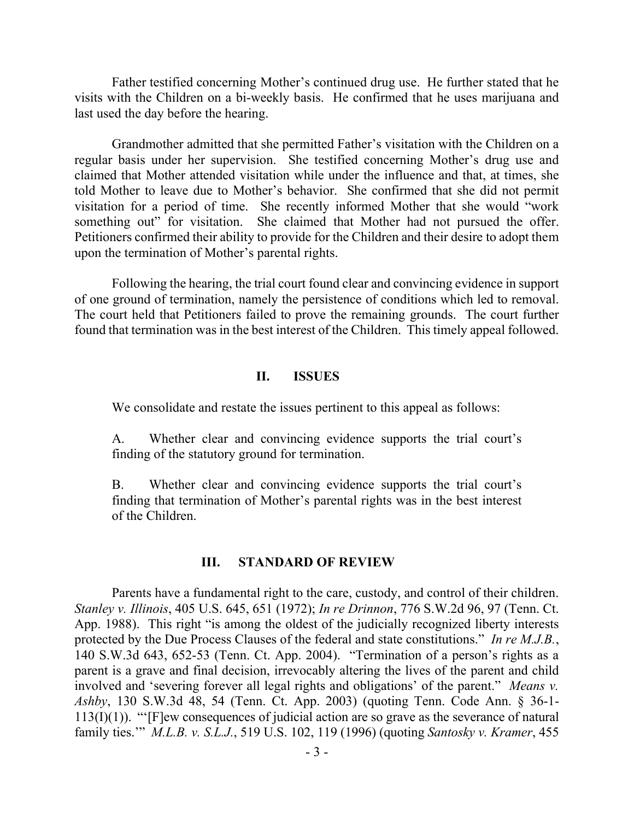Father testified concerning Mother's continued drug use. He further stated that he visits with the Children on a bi-weekly basis. He confirmed that he uses marijuana and last used the day before the hearing.

Grandmother admitted that she permitted Father's visitation with the Children on a regular basis under her supervision. She testified concerning Mother's drug use and claimed that Mother attended visitation while under the influence and that, at times, she told Mother to leave due to Mother's behavior. She confirmed that she did not permit visitation for a period of time. She recently informed Mother that she would "work something out" for visitation. She claimed that Mother had not pursued the offer. Petitioners confirmed their ability to provide for the Children and their desire to adopt them upon the termination of Mother's parental rights.

Following the hearing, the trial court found clear and convincing evidence in support of one ground of termination, namely the persistence of conditions which led to removal. The court held that Petitioners failed to prove the remaining grounds. The court further found that termination was in the best interest of the Children. This timely appeal followed.

### **II. ISSUES**

We consolidate and restate the issues pertinent to this appeal as follows:

A. Whether clear and convincing evidence supports the trial court's finding of the statutory ground for termination.

B. Whether clear and convincing evidence supports the trial court's finding that termination of Mother's parental rights was in the best interest of the Children.

#### **III. STANDARD OF REVIEW**

Parents have a fundamental right to the care, custody, and control of their children. *Stanley v. Illinois*, 405 U.S. 645, 651 (1972); *In re Drinnon*, 776 S.W.2d 96, 97 (Tenn. Ct. App. 1988). This right "is among the oldest of the judicially recognized liberty interests protected by the Due Process Clauses of the federal and state constitutions." *In re M.J.B.*, 140 S.W.3d 643, 652-53 (Tenn. Ct. App. 2004). "Termination of a person's rights as a parent is a grave and final decision, irrevocably altering the lives of the parent and child involved and 'severing forever all legal rights and obligations' of the parent." *Means v. Ashby*, 130 S.W.3d 48, 54 (Tenn. Ct. App. 2003) (quoting Tenn. Code Ann. § 36-1- 113(I)(1)). "'[F]ew consequences of judicial action are so grave as the severance of natural family ties.'" *M.L.B. v. S.L.J.*, 519 U.S. 102, 119 (1996) (quoting *Santosky v. Kramer*, 455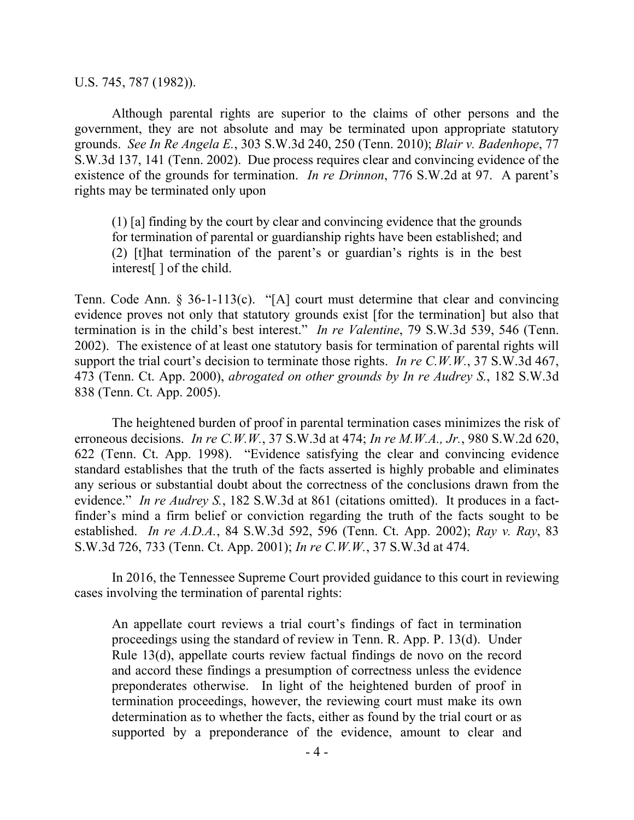U.S. 745, 787 (1982)).

Although parental rights are superior to the claims of other persons and the government, they are not absolute and may be terminated upon appropriate statutory grounds. *See In Re Angela E.*, 303 S.W.3d 240, 250 (Tenn. 2010); *Blair v. Badenhope*, 77 S.W.3d 137, 141 (Tenn. 2002). Due process requires clear and convincing evidence of the existence of the grounds for termination. *In re Drinnon*, 776 S.W.2d at 97. A parent's rights may be terminated only upon

(1) [a] finding by the court by clear and convincing evidence that the grounds for termination of parental or guardianship rights have been established; and (2) [t]hat termination of the parent's or guardian's rights is in the best interest[ ] of the child.

Tenn. Code Ann. § 36-1-113(c). "[A] court must determine that clear and convincing evidence proves not only that statutory grounds exist [for the termination] but also that termination is in the child's best interest." *In re Valentine*, 79 S.W.3d 539, 546 (Tenn. 2002). The existence of at least one statutory basis for termination of parental rights will support the trial court's decision to terminate those rights. *In re C.W.W.*, 37 S.W.3d 467, 473 (Tenn. Ct. App. 2000), *abrogated on other grounds by In re Audrey S.*, 182 S.W.3d 838 (Tenn. Ct. App. 2005).

The heightened burden of proof in parental termination cases minimizes the risk of erroneous decisions. *In re C.W.W.*, 37 S.W.3d at 474; *In re M.W.A., Jr.*, 980 S.W.2d 620, 622 (Tenn. Ct. App. 1998). "Evidence satisfying the clear and convincing evidence standard establishes that the truth of the facts asserted is highly probable and eliminates any serious or substantial doubt about the correctness of the conclusions drawn from the evidence." *In re Audrey S.*, 182 S.W.3d at 861 (citations omitted). It produces in a factfinder's mind a firm belief or conviction regarding the truth of the facts sought to be established. *In re A.D.A.*, 84 S.W.3d 592, 596 (Tenn. Ct. App. 2002); *Ray v. Ray*, 83 S.W.3d 726, 733 (Tenn. Ct. App. 2001); *In re C.W.W.*, 37 S.W.3d at 474.

In 2016, the Tennessee Supreme Court provided guidance to this court in reviewing cases involving the termination of parental rights:

An appellate court reviews a trial court's findings of fact in termination proceedings using the standard of review in Tenn. R. App. P. 13(d). Under Rule 13(d), appellate courts review factual findings de novo on the record and accord these findings a presumption of correctness unless the evidence preponderates otherwise. In light of the heightened burden of proof in termination proceedings, however, the reviewing court must make its own determination as to whether the facts, either as found by the trial court or as supported by a preponderance of the evidence, amount to clear and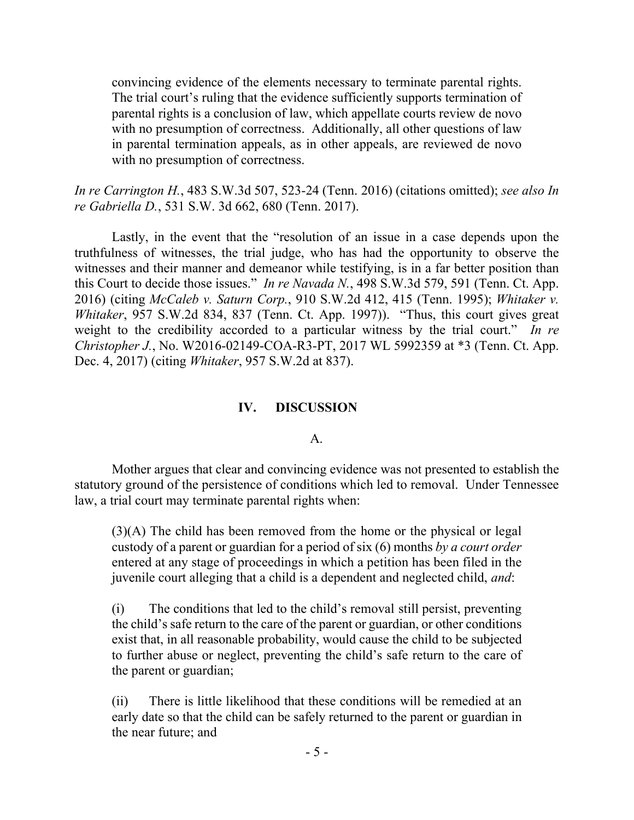convincing evidence of the elements necessary to terminate parental rights. The trial court's ruling that the evidence sufficiently supports termination of parental rights is a conclusion of law, which appellate courts review de novo with no presumption of correctness. Additionally, all other questions of law in parental termination appeals, as in other appeals, are reviewed de novo with no presumption of correctness.

*In re Carrington H.*, 483 S.W.3d 507, 523-24 (Tenn. 2016) (citations omitted); *see also In re Gabriella D.*, 531 S.W. 3d 662, 680 (Tenn. 2017).

Lastly, in the event that the "resolution of an issue in a case depends upon the truthfulness of witnesses, the trial judge, who has had the opportunity to observe the witnesses and their manner and demeanor while testifying, is in a far better position than this Court to decide those issues." *In re Navada N.*, 498 S.W.3d 579, 591 (Tenn. Ct. App. 2016) (citing *McCaleb v. Saturn Corp.*, 910 S.W.2d 412, 415 (Tenn. 1995); *Whitaker v. Whitaker*, 957 S.W.2d 834, 837 (Tenn. Ct. App. 1997)). "Thus, this court gives great weight to the credibility accorded to a particular witness by the trial court." *In re Christopher J.*, No. W2016-02149-COA-R3-PT, 2017 WL 5992359 at \*3 (Tenn. Ct. App. Dec. 4, 2017) (citing *Whitaker*, 957 S.W.2d at 837).

### **IV. DISCUSSION**

#### A.

Mother argues that clear and convincing evidence was not presented to establish the statutory ground of the persistence of conditions which led to removal. Under Tennessee law, a trial court may terminate parental rights when:

(3)(A) The child has been removed from the home or the physical or legal custody of a parent or guardian for a period of six (6) months *by a court order* entered at any stage of proceedings in which a petition has been filed in the juvenile court alleging that a child is a dependent and neglected child, *and*:

(i) The conditions that led to the child's removal still persist, preventing the child's safe return to the care of the parent or guardian, or other conditions exist that, in all reasonable probability, would cause the child to be subjected to further abuse or neglect, preventing the child's safe return to the care of the parent or guardian;

(ii) There is little likelihood that these conditions will be remedied at an early date so that the child can be safely returned to the parent or guardian in the near future; and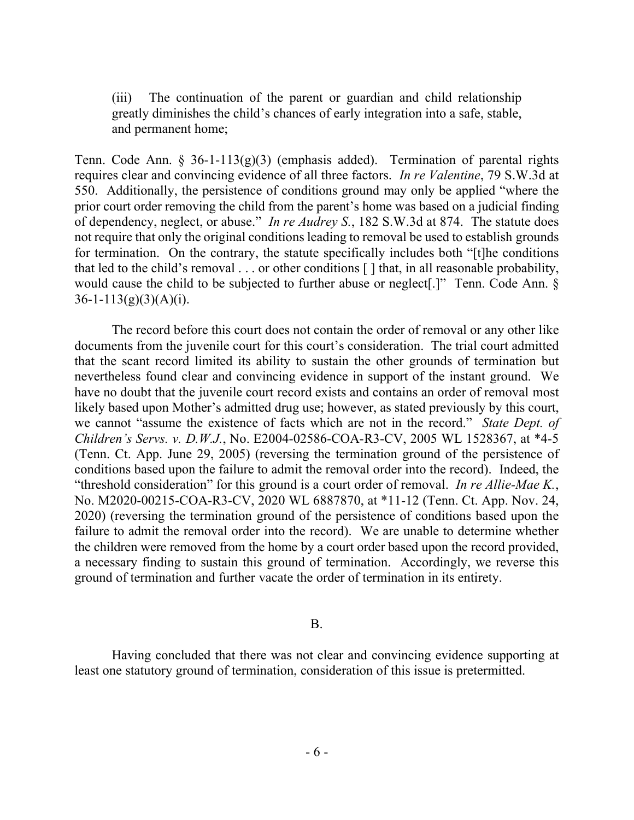(iii) The continuation of the parent or guardian and child relationship greatly diminishes the child's chances of early integration into a safe, stable, and permanent home;

Tenn. Code Ann. § 36-1-113(g)(3) (emphasis added). Termination of parental rights requires clear and convincing evidence of all three factors. *In re Valentine*, 79 S.W.3d at 550. Additionally, the persistence of conditions ground may only be applied "where the prior court order removing the child from the parent's home was based on a judicial finding of dependency, neglect, or abuse." *In re Audrey S.*, 182 S.W.3d at 874. The statute does not require that only the original conditions leading to removal be used to establish grounds for termination. On the contrary, the statute specifically includes both "[t]he conditions that led to the child's removal . . . or other conditions [ ] that, in all reasonable probability, would cause the child to be subjected to further abuse or neglect<sup>[1]</sup>. Tenn. Code Ann. §  $36-1-113(g)(3)(A)(i)$ .

The record before this court does not contain the order of removal or any other like documents from the juvenile court for this court's consideration. The trial court admitted that the scant record limited its ability to sustain the other grounds of termination but nevertheless found clear and convincing evidence in support of the instant ground. We have no doubt that the juvenile court record exists and contains an order of removal most likely based upon Mother's admitted drug use; however, as stated previously by this court, we cannot "assume the existence of facts which are not in the record." *State Dept. of Children's Servs. v. D.W.J.*, No. E2004-02586-COA-R3-CV, 2005 WL 1528367, at \*4-5 (Tenn. Ct. App. June 29, 2005) (reversing the termination ground of the persistence of conditions based upon the failure to admit the removal order into the record). Indeed, the "threshold consideration" for this ground is a court order of removal. *In re Allie-Mae K.*, No. M2020-00215-COA-R3-CV, 2020 WL 6887870, at \*11-12 (Tenn. Ct. App. Nov. 24, 2020) (reversing the termination ground of the persistence of conditions based upon the failure to admit the removal order into the record). We are unable to determine whether the children were removed from the home by a court order based upon the record provided, a necessary finding to sustain this ground of termination. Accordingly, we reverse this ground of termination and further vacate the order of termination in its entirety.

B.

Having concluded that there was not clear and convincing evidence supporting at least one statutory ground of termination, consideration of this issue is pretermitted.